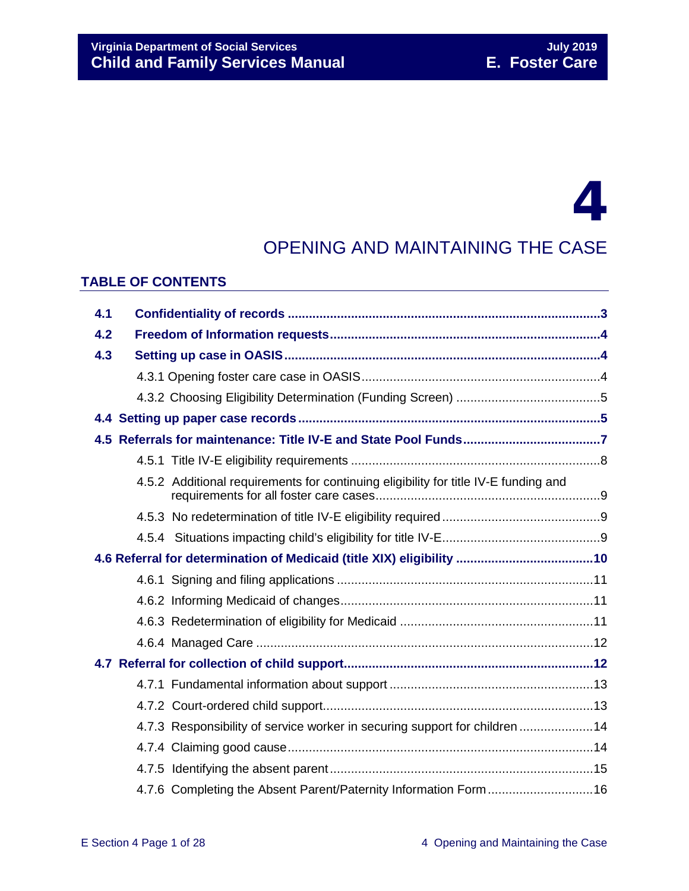# 4

# OPENING AND MAINTAINING THE CASE

#### **TABLE OF CONTENTS**

| 4.1 |                                                                                     |  |
|-----|-------------------------------------------------------------------------------------|--|
| 4.2 |                                                                                     |  |
| 4.3 |                                                                                     |  |
|     |                                                                                     |  |
|     |                                                                                     |  |
|     |                                                                                     |  |
|     |                                                                                     |  |
|     |                                                                                     |  |
|     | 4.5.2 Additional requirements for continuing eligibility for title IV-E funding and |  |
|     |                                                                                     |  |
|     |                                                                                     |  |
|     |                                                                                     |  |
|     |                                                                                     |  |
|     |                                                                                     |  |
|     |                                                                                     |  |
|     |                                                                                     |  |
|     |                                                                                     |  |
|     |                                                                                     |  |
|     |                                                                                     |  |
|     |                                                                                     |  |
|     | 4.7.3 Responsibility of service worker in securing support for children  14         |  |
|     |                                                                                     |  |
|     |                                                                                     |  |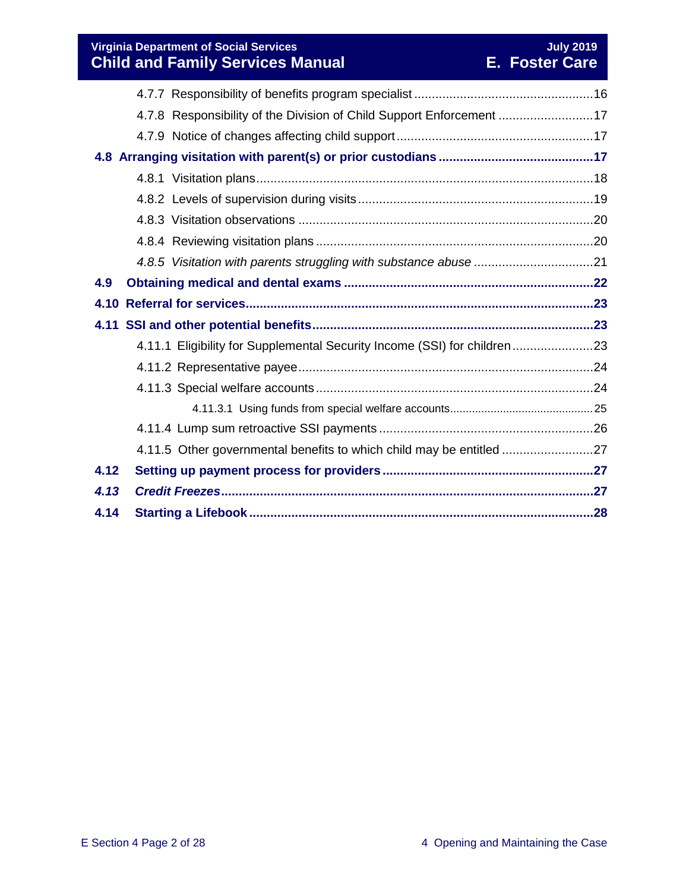# **Virginia Department of Social Services July 2019 Child and Family Services Manual E. Foster Care**

|      | 4.7.8 Responsibility of the Division of Child Support Enforcement 17     |  |
|------|--------------------------------------------------------------------------|--|
|      |                                                                          |  |
|      |                                                                          |  |
|      |                                                                          |  |
|      |                                                                          |  |
|      |                                                                          |  |
|      |                                                                          |  |
|      |                                                                          |  |
| 4.9  |                                                                          |  |
|      |                                                                          |  |
|      |                                                                          |  |
|      | 4.11.1 Eligibility for Supplemental Security Income (SSI) for children23 |  |
|      |                                                                          |  |
|      |                                                                          |  |
|      |                                                                          |  |
|      |                                                                          |  |
|      | 4.11.5 Other governmental benefits to which child may be entitled 27     |  |
| 4.12 |                                                                          |  |
| 4.13 |                                                                          |  |
| 4.14 |                                                                          |  |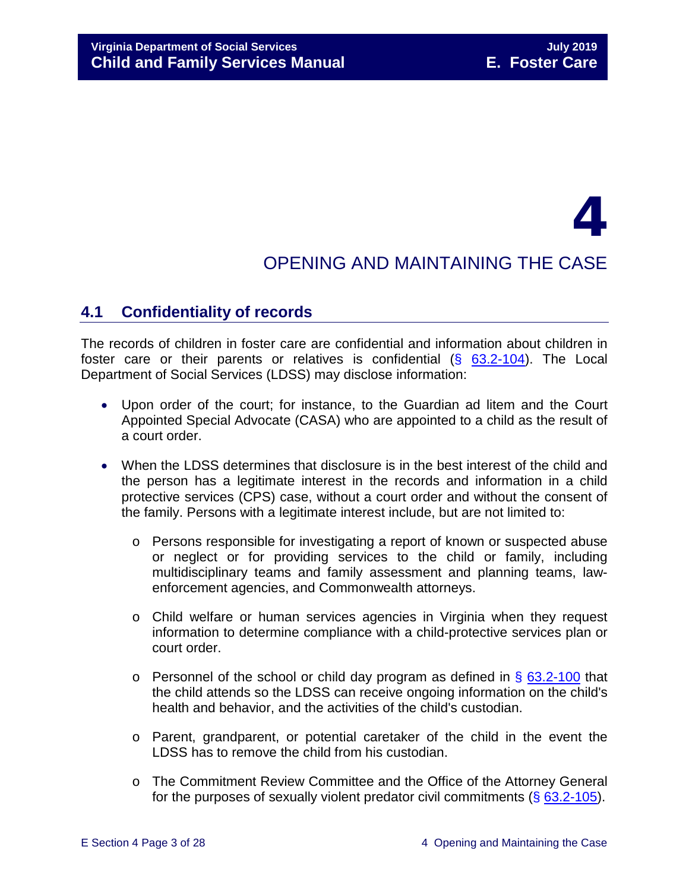# 4

# OPENING AND MAINTAINING THE CASE

# <span id="page-2-0"></span>**4.1 Confidentiality of records**

The records of children in foster care are confidential and information about children in foster care or their parents or relatives is confidential  $(§ 63.2-104)$  $(§ 63.2-104)$ . The Local Department of Social Services (LDSS) may disclose information:

- Upon order of the court; for instance, to the Guardian ad litem and the Court Appointed Special Advocate (CASA) who are appointed to a child as the result of a court order.
- When the LDSS determines that disclosure is in the best interest of the child and the person has a legitimate interest in the records and information in a child protective services (CPS) case, without a court order and without the consent of the family. Persons with a legitimate interest include, but are not limited to:
	- o Persons responsible for investigating a report of known or suspected abuse or neglect or for providing services to the child or family, including multidisciplinary teams and family assessment and planning teams, lawenforcement agencies, and Commonwealth attorneys.
	- o Child welfare or human services agencies in Virginia when they request information to determine compliance with a child-protective services plan or court order.
	- $\circ$  Personnel of the school or child day program as defined in § [63.2-100](http://law.lis.virginia.gov/vacode/63.2-100/) that the child attends so the LDSS can receive ongoing information on the child's health and behavior, and the activities of the child's custodian.
	- o Parent, grandparent, or potential caretaker of the child in the event the LDSS has to remove the child from his custodian.
	- o The Commitment Review Committee and the Office of the Attorney General for the purposes of sexually violent predator civil commitments (§ [63.2-105\)](http://law.lis.virginia.gov/vacode/63.2-105/).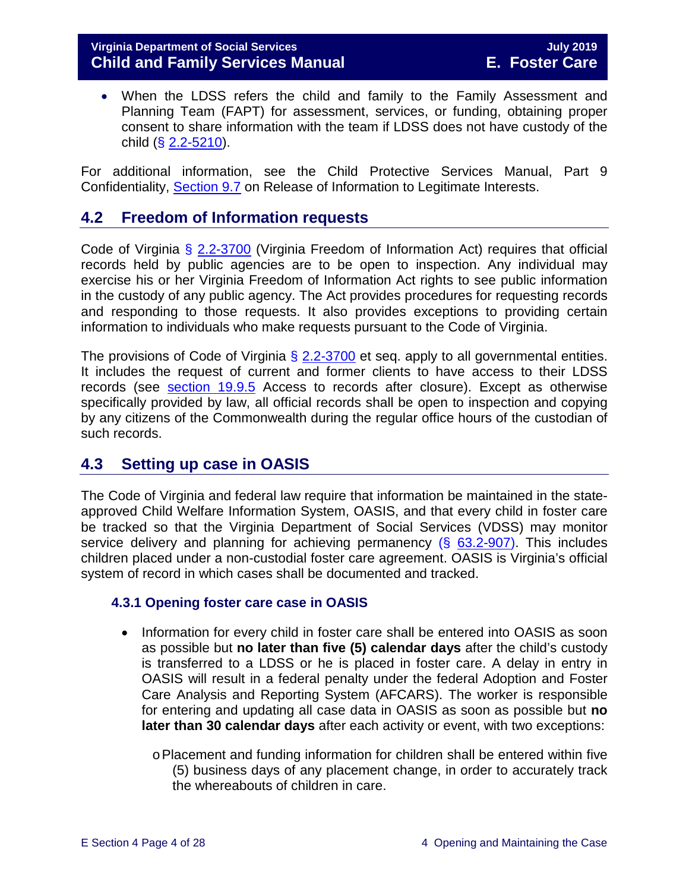#### **Virginia Department of Social Services July 2019 Child and Family Services Manual**

• When the LDSS refers the child and family to the Family Assessment and Planning Team (FAPT) for assessment, services, or funding, obtaining proper consent to share information with the team if LDSS does not have custody of the child  $(**§** 2.2-5210).$  $(**§** 2.2-5210).$  $(**§** 2.2-5210).$ 

For additional information, see the Child Protective Services Manual, Part 9 Confidentiality, [Section 9.7](http://www.dss.virginia.gov/family/fc/index.cgi#manuals) on Release of Information to Legitimate Interests.

# <span id="page-3-0"></span>**4.2 Freedom of Information requests**

Code of Virginia § [2.2-3700](http://law.lis.virginia.gov/vacode/2.2-3700/) (Virginia Freedom of Information Act) requires that official records held by public agencies are to be open to inspection. Any individual may exercise his or her Virginia Freedom of Information Act rights to see public information in the custody of any public agency. The Act provides procedures for requesting records and responding to those requests. It also provides exceptions to providing certain information to individuals who make requests pursuant to the Code of Virginia.

The provisions of Code of Virginia  $\S$  [2.2-3700](http://law.lis.virginia.gov/vacode/2.2-3700/) et seq. apply to all governmental entities. It includes the request of current and former clients to have access to their LDSS records (see [section 19.9.5](https://fusion.dss.virginia.gov/Portals/%5bdfs%5d/Files/DFS%20Manuals/Foster%20Care%20Manuals/Foster%20Care%20Manual%2007-2019/section_19_closing_a_case_to_foster_care.pdf#page=6) Access to records after closure). Except as otherwise specifically provided by law, all official records shall be open to inspection and copying by any citizens of the Commonwealth during the regular office hours of the custodian of such records.

# <span id="page-3-1"></span>**4.3 Setting up case in OASIS**

The Code of Virginia and federal law require that information be maintained in the stateapproved Child Welfare Information System, OASIS, and that every child in foster care be tracked so that the Virginia Department of Social Services (VDSS) may monitor service delivery and planning for achieving permanency  $(\S$  [63.2-907\)](http://law.lis.virginia.gov/vacode/63.2-907/). This includes children placed under a non-custodial foster care agreement. OASIS is Virginia's official system of record in which cases shall be documented and tracked.

#### <span id="page-3-2"></span>**4.3.1 Opening foster care case in OASIS**

- Information for every child in foster care shall be entered into OASIS as soon as possible but **no later than five (5) calendar days** after the child's custody is transferred to a LDSS or he is placed in foster care. A delay in entry in OASIS will result in a federal penalty under the federal Adoption and Foster Care Analysis and Reporting System (AFCARS). The worker is responsible for entering and updating all case data in OASIS as soon as possible but **no later than 30 calendar days** after each activity or event, with two exceptions:
	- oPlacement and funding information for children shall be entered within five (5) business days of any placement change, in order to accurately track the whereabouts of children in care.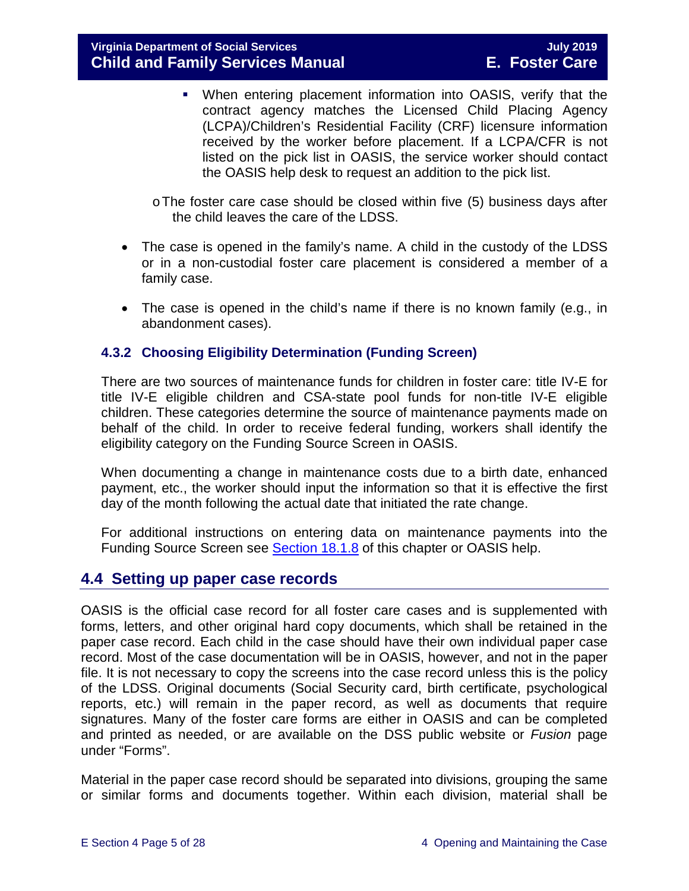When entering placement information into OASIS, verify that the contract agency matches the Licensed Child Placing Agency (LCPA)/Children's Residential Facility (CRF) licensure information received by the worker before placement. If a LCPA/CFR is not listed on the pick list in OASIS, the service worker should contact the OASIS help desk to request an addition to the pick list.

oThe foster care case should be closed within five (5) business days after the child leaves the care of the LDSS.

- The case is opened in the family's name. A child in the custody of the LDSS or in a non-custodial foster care placement is considered a member of a family case.
- The case is opened in the child's name if there is no known family (e.g., in abandonment cases).

#### <span id="page-4-0"></span>**4.3.2 Choosing Eligibility Determination (Funding Screen)**

There are two sources of maintenance funds for children in foster care: title IV-E for title IV-E eligible children and CSA-state pool funds for non-title IV-E eligible children. These categories determine the source of maintenance payments made on behalf of the child. In order to receive federal funding, workers shall identify the eligibility category on the Funding Source Screen in OASIS.

When documenting a change in maintenance costs due to a birth date, enhanced payment, etc., the worker should input the information so that it is effective the first day of the month following the actual date that initiated the rate change.

For additional instructions on entering data on maintenance payments into the Funding Source Screen see **Section 18.1.8** of this chapter or OASIS help.

# <span id="page-4-1"></span>**4.4 Setting up paper case records**

OASIS is the official case record for all foster care cases and is supplemented with forms, letters, and other original hard copy documents, which shall be retained in the paper case record. Each child in the case should have their own individual paper case record. Most of the case documentation will be in OASIS, however, and not in the paper file. It is not necessary to copy the screens into the case record unless this is the policy of the LDSS. Original documents (Social Security card, birth certificate, psychological reports, etc.) will remain in the paper record, as well as documents that require signatures. Many of the foster care forms are either in OASIS and can be completed and printed as needed, or are available on the DSS public website or *Fusion* page under "Forms".

Material in the paper case record should be separated into divisions, grouping the same or similar forms and documents together. Within each division, material shall be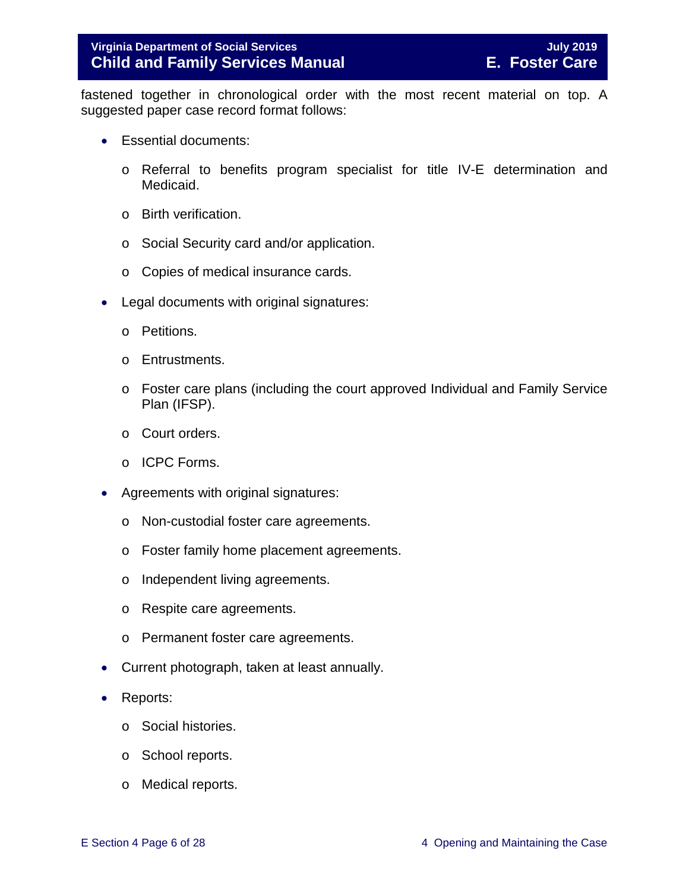fastened together in chronological order with the most recent material on top. A suggested paper case record format follows:

- Essential documents:
	- o Referral to benefits program specialist for title IV-E determination and Medicaid.
	- o Birth verification.
	- o Social Security card and/or application.
	- o Copies of medical insurance cards.
- Legal documents with original signatures:
	- o Petitions.
	- o Entrustments.
	- o Foster care plans (including the court approved Individual and Family Service Plan (IFSP).
	- o Court orders.
	- o ICPC Forms.
- Agreements with original signatures:
	- o Non-custodial foster care agreements.
	- o Foster family home placement agreements.
	- o Independent living agreements.
	- o Respite care agreements.
	- o Permanent foster care agreements.
- Current photograph, taken at least annually.
- Reports:
	- o Social histories.
	- o School reports.
	- o Medical reports.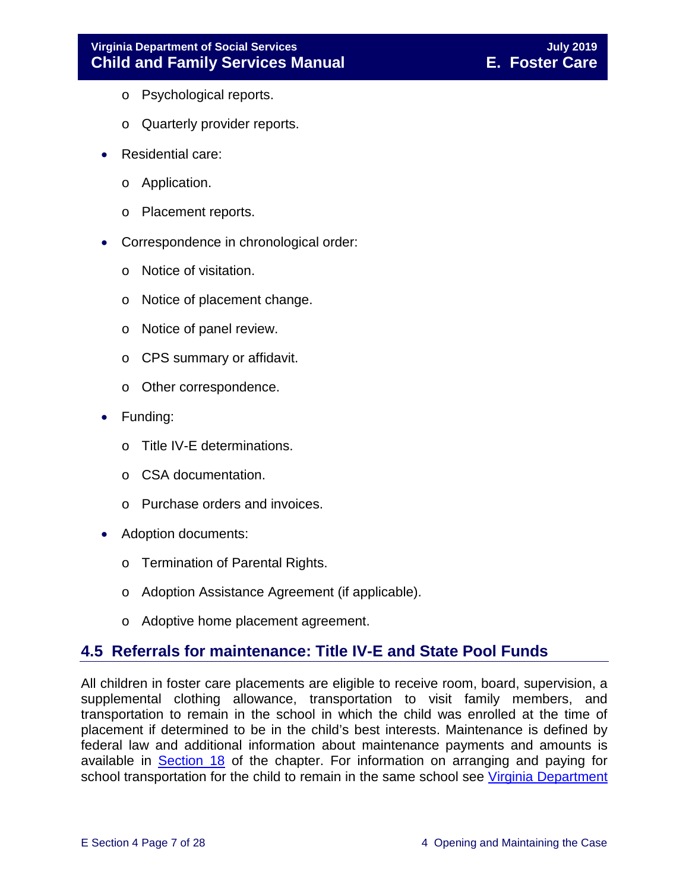- o Psychological reports.
- o Quarterly provider reports.
- Residential care:
	- o Application.
	- o Placement reports.
- Correspondence in chronological order:
	- o Notice of visitation.
	- o Notice of placement change.
	- o Notice of panel review.
	- o CPS summary or affidavit.
	- o Other correspondence.
- Funding:
	- o Title IV-E determinations.
	- o CSA documentation.
	- o Purchase orders and invoices.
- Adoption documents:
	- o Termination of Parental Rights.
	- o Adoption Assistance Agreement (if applicable).
	- o Adoptive home placement agreement.

# <span id="page-6-0"></span>**4.5 Referrals for maintenance: Title IV-E and State Pool Funds**

All children in foster care placements are eligible to receive room, board, supervision, a supplemental clothing allowance, transportation to visit family members, and transportation to remain in the school in which the child was enrolled at the time of placement if determined to be in the child's best interests. Maintenance is defined by federal law and additional information about maintenance payments and amounts is available in [Section 18](https://fusion.dss.virginia.gov/Portals/%5bdfs%5d/Files/DFS%20Manuals/Foster%20Care%20Manuals/Foster%20Care%20Manual%2007-2019/section_18_funding_maintenance_costs.pdf) of the chapter. For information on arranging and paying for school transportation for the child to remain in the same school see Virginia Department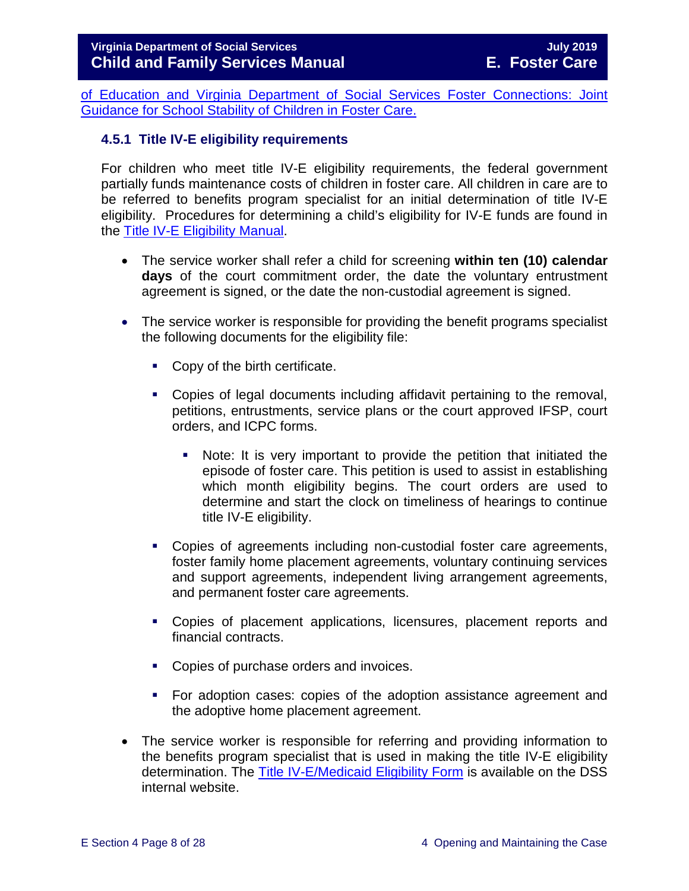[of Education and Virginia Department of Social Services Foster Connections: Joint](https://fusion.dss.virginia.gov/Portals/%5Bdfs%5D/Files/Foster%20Care/Joint%20Guidance/VDOE%20VDSS%20-%20Joint%20Guidance%20for%20School%20Stability%20of%20Children%20Youth%20in%20FC.pdf)  [Guidance for School Stability of Children in Foster Care.](https://fusion.dss.virginia.gov/Portals/%5Bdfs%5D/Files/Foster%20Care/Joint%20Guidance/VDOE%20VDSS%20-%20Joint%20Guidance%20for%20School%20Stability%20of%20Children%20Youth%20in%20FC.pdf)

#### <span id="page-7-0"></span>**4.5.1 Title IV-E eligibility requirements**

For children who meet title IV-E eligibility requirements, the federal government partially funds maintenance costs of children in foster care. All children in care are to be referred to benefits program specialist for an initial determination of title IV-E eligibility. Procedures for determining a child's eligibility for IV-E funds are found in the [Title IV-E Eligibility Manual.](https://fusion.dss.virginia.gov/dfs/DFS-Home/Title-IV-E/Title-IV-E-Guidance)

- The service worker shall refer a child for screening **within ten (10) calendar days** of the court commitment order, the date the voluntary entrustment agreement is signed, or the date the non-custodial agreement is signed.
- The service worker is responsible for providing the benefit programs specialist the following documents for the eligibility file:
	- Copy of the birth certificate.
	- Copies of legal documents including affidavit pertaining to the removal, petitions, entrustments, service plans or the court approved IFSP, court orders, and ICPC forms.
		- Note: It is very important to provide the petition that initiated the episode of foster care. This petition is used to assist in establishing which month eligibility begins. The court orders are used to determine and start the clock on timeliness of hearings to continue title IV-E eligibility.
	- Copies of agreements including non-custodial foster care agreements, foster family home placement agreements, voluntary continuing services and support agreements, independent living arrangement agreements, and permanent foster care agreements.
	- Copies of placement applications, licensures, placement reports and financial contracts.
	- Copies of purchase orders and invoices.
	- For adoption cases: copies of the adoption assistance agreement and the adoptive home placement agreement.
- The service worker is responsible for referring and providing information to the benefits program specialist that is used in making the title IV-E eligibility determination. The [Title IV-E/Medicaid Eligibility Form](https://fusion.dss.virginia.gov/dfs/DFS-Home/Title-IV-E/Title-IV-E-Forms) is available on the DSS internal website.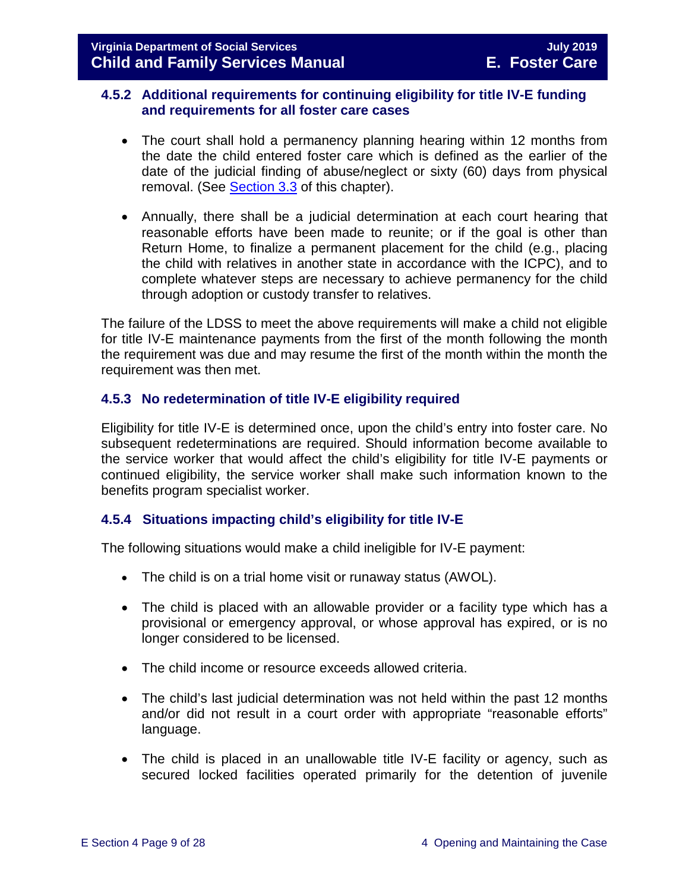#### <span id="page-8-0"></span>**4.5.2 Additional requirements for continuing eligibility for title IV-E funding and requirements for all foster care cases**

- The court shall hold a permanency planning hearing within 12 months from the date the child entered foster care which is defined as the earlier of the date of the judicial finding of abuse/neglect or sixty (60) days from physical removal. (See [Section 3.3](https://fusion.dss.virginia.gov/Portals/%5bdfs%5d/Files/DFS%20Manuals/Foster%20Care%20Manuals/Foster%20Care%20Manual%2007-2019/section_3_entering_foster_care.pdf#page=3) of this chapter).
- Annually, there shall be a judicial determination at each court hearing that reasonable efforts have been made to reunite; or if the goal is other than Return Home, to finalize a permanent placement for the child (e.g., placing the child with relatives in another state in accordance with the ICPC), and to complete whatever steps are necessary to achieve permanency for the child through adoption or custody transfer to relatives.

The failure of the LDSS to meet the above requirements will make a child not eligible for title IV-E maintenance payments from the first of the month following the month the requirement was due and may resume the first of the month within the month the requirement was then met.

#### <span id="page-8-1"></span>**4.5.3 No redetermination of title IV-E eligibility required**

Eligibility for title IV-E is determined once, upon the child's entry into foster care. No subsequent redeterminations are required. Should information become available to the service worker that would affect the child's eligibility for title IV-E payments or continued eligibility, the service worker shall make such information known to the benefits program specialist worker.

#### <span id="page-8-2"></span>**4.5.4 Situations impacting child's eligibility for title IV-E**

The following situations would make a child ineligible for IV-E payment:

- The child is on a trial home visit or runaway status (AWOL).
- The child is placed with an allowable provider or a facility type which has a provisional or emergency approval, or whose approval has expired, or is no longer considered to be licensed.
- The child income or resource exceeds allowed criteria.
- The child's last judicial determination was not held within the past 12 months and/or did not result in a court order with appropriate "reasonable efforts" language.
- The child is placed in an unallowable title IV-E facility or agency, such as secured locked facilities operated primarily for the detention of juvenile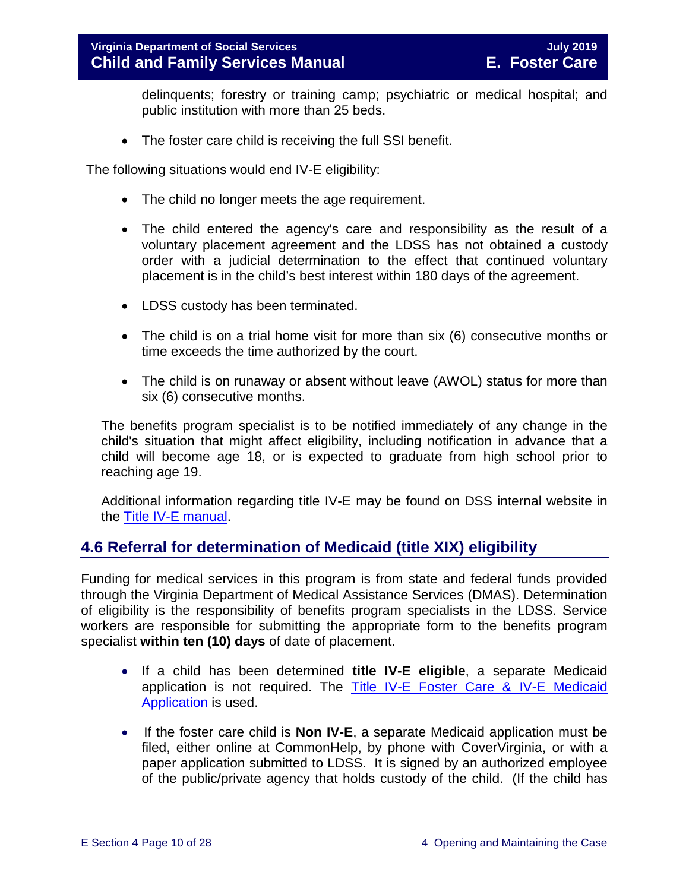delinquents; forestry or training camp; psychiatric or medical hospital; and public institution with more than 25 beds.

• The foster care child is receiving the full SSI benefit.

The following situations would end IV-E eligibility:

- The child no longer meets the age requirement.
- The child entered the agency's care and responsibility as the result of a voluntary placement agreement and the LDSS has not obtained a custody order with a judicial determination to the effect that continued voluntary placement is in the child's best interest within 180 days of the agreement.
- LDSS custody has been terminated.
- The child is on a trial home visit for more than six (6) consecutive months or time exceeds the time authorized by the court.
- The child is on runaway or absent without leave (AWOL) status for more than six (6) consecutive months.

The benefits program specialist is to be notified immediately of any change in the child's situation that might affect eligibility, including notification in advance that a child will become age 18, or is expected to graduate from high school prior to reaching age 19.

Additional information regarding title IV-E may be found on DSS internal website in the [Title IV-E manual.](https://fusion.dss.virginia.gov/dfs/DFS-Home/Title-IV-E/Title-IV-E-Guidance)

# <span id="page-9-0"></span>**4.6 Referral for determination of Medicaid (title XIX) eligibility**

Funding for medical services in this program is from state and federal funds provided through the Virginia Department of Medical Assistance Services (DMAS). Determination of eligibility is the responsibility of benefits program specialists in the LDSS. Service workers are responsible for submitting the appropriate form to the benefits program specialist **within ten (10) days** of date of placement.

- If a child has been determined **title IV-E eligible**, a separate Medicaid application is not required. The [Title IV-E Foster Care & IV-E Medicaid](https://fusion.dss.virginia.gov/dfs/DFS-Home/Title-IV-E/Title-IV-E-Forms)  [Application](https://fusion.dss.virginia.gov/dfs/DFS-Home/Title-IV-E/Title-IV-E-Forms) is used.
- If the foster care child is **Non IV-E**, a separate Medicaid application must be filed, either online at CommonHelp, by phone with CoverVirginia, or with a paper application submitted to LDSS. It is signed by an authorized employee of the public/private agency that holds custody of the child. (If the child has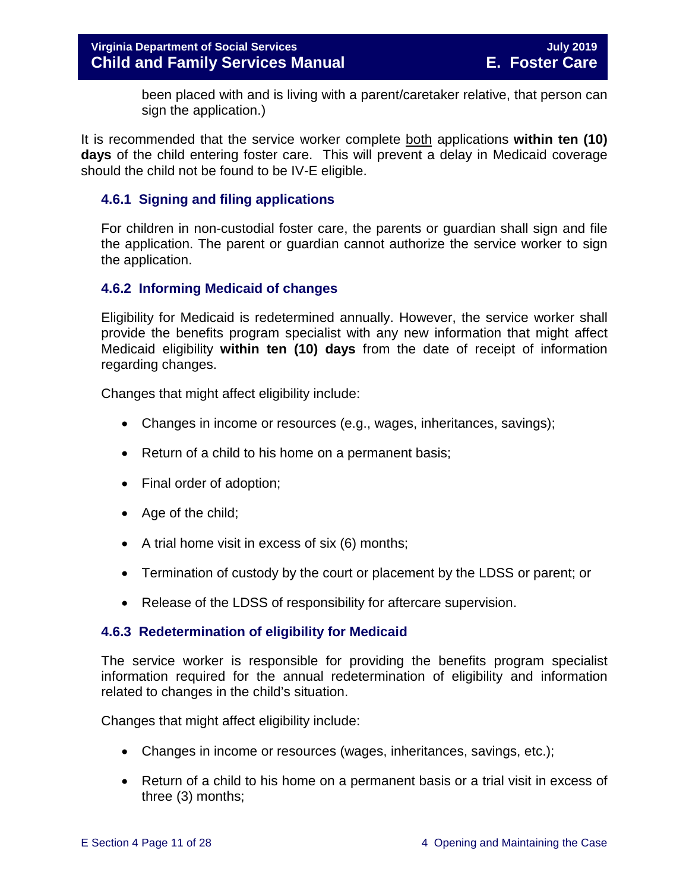been placed with and is living with a parent/caretaker relative, that person can sign the application.)

It is recommended that the service worker complete both applications **within ten (10) days** of the child entering foster care. This will prevent a delay in Medicaid coverage should the child not be found to be IV-E eligible.

#### <span id="page-10-0"></span>**4.6.1 Signing and filing applications**

For children in non-custodial foster care, the parents or guardian shall sign and file the application. The parent or guardian cannot authorize the service worker to sign the application.

#### <span id="page-10-1"></span>**4.6.2 Informing Medicaid of changes**

Eligibility for Medicaid is redetermined annually. However, the service worker shall provide the benefits program specialist with any new information that might affect Medicaid eligibility **within ten (10) days** from the date of receipt of information regarding changes.

Changes that might affect eligibility include:

- Changes in income or resources (e.g., wages, inheritances, savings);
- Return of a child to his home on a permanent basis;
- Final order of adoption;
- Age of the child;
- A trial home visit in excess of six (6) months;
- Termination of custody by the court or placement by the LDSS or parent; or
- Release of the LDSS of responsibility for aftercare supervision.

#### <span id="page-10-2"></span>**4.6.3 Redetermination of eligibility for Medicaid**

The service worker is responsible for providing the benefits program specialist information required for the annual redetermination of eligibility and information related to changes in the child's situation.

Changes that might affect eligibility include:

- Changes in income or resources (wages, inheritances, savings, etc.);
- Return of a child to his home on a permanent basis or a trial visit in excess of three (3) months;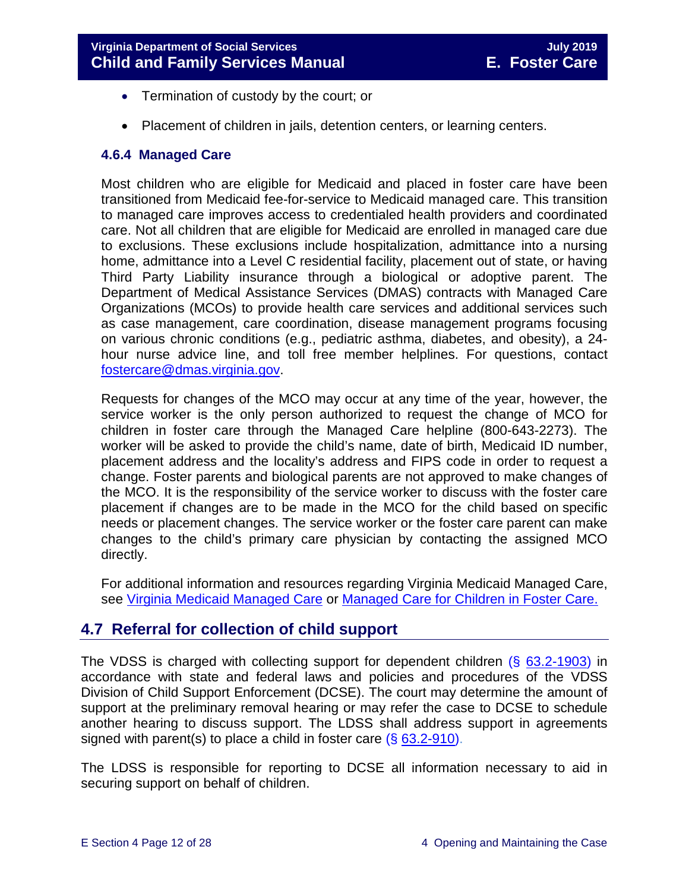- Termination of custody by the court; or
- Placement of children in jails, detention centers, or learning centers.

#### <span id="page-11-0"></span>**4.6.4 Managed Care**

Most children who are eligible for Medicaid and placed in foster care have been transitioned from Medicaid fee-for-service to Medicaid managed care. This transition to managed care improves access to credentialed health providers and coordinated care. Not all children that are eligible for Medicaid are enrolled in managed care due to exclusions. These exclusions include hospitalization, admittance into a nursing home, admittance into a Level C residential facility, placement out of state, or having Third Party Liability insurance through a biological or adoptive parent. The Department of Medical Assistance Services (DMAS) contracts with Managed Care Organizations (MCOs) to provide health care services and additional services such as case management, care coordination, disease management programs focusing on various chronic conditions (e.g., pediatric asthma, diabetes, and obesity), a 24 hour nurse advice line, and toll free member helplines. For questions, contact [fostercare@dmas.virginia.gov.](mailto:fostercare@dmas.virginia.gov)

Requests for changes of the MCO may occur at any time of the year, however, the service worker is the only person authorized to request the change of MCO for children in foster care through the Managed Care helpline (800-643-2273). The worker will be asked to provide the child's name, date of birth, Medicaid ID number, placement address and the locality's address and FIPS code in order to request a change. Foster parents and biological parents are not approved to make changes of the MCO. It is the responsibility of the service worker to discuss with the foster care placement if changes are to be made in the MCO for the child based on specific needs or placement changes. The service worker or the foster care parent can make changes to the child's primary care physician by contacting the assigned MCO directly.

For additional information and resources regarding Virginia Medicaid Managed Care, see [Virginia Medicaid Managed Care](http://www.virginiamanagedcare.com/) or Managed Care [for Children in Foster Care.](http://www.dmas.virginia.gov/Content_pgs/ialtc-plt.aspx)

# <span id="page-11-1"></span>**4.7 Referral for collection of child support**

The VDSS is charged with collecting support for dependent children (§ [63.2-1903\)](http://law.lis.virginia.gov/vacode/63.2-1903/) in accordance with state and federal laws and policies and procedures of the VDSS Division of Child Support Enforcement (DCSE). The court may determine the amount of support at the preliminary removal hearing or may refer the case to DCSE to schedule another hearing to discuss support. The LDSS shall address support in agreements signed with parent(s) to place a child in foster care (§ [63.2-910\)](http://law.lis.virginia.gov/vacode/63.2-910/).

The LDSS is responsible for reporting to DCSE all information necessary to aid in securing support on behalf of children.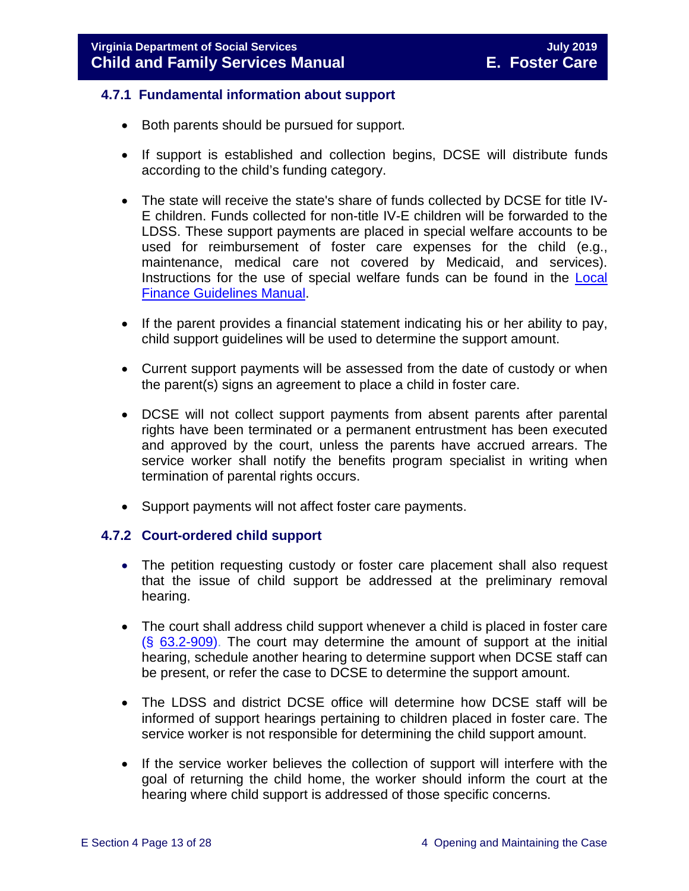#### <span id="page-12-0"></span>**4.7.1 Fundamental information about support**

- Both parents should be pursued for support.
- If support is established and collection begins, DCSE will distribute funds according to the child's funding category.
- The state will receive the state's share of funds collected by DCSE for title IV-E children. Funds collected for non-title IV-E children will be forwarded to the LDSS. These support payments are placed in special welfare accounts to be used for reimbursement of foster care expenses for the child (e.g., maintenance, medical care not covered by Medicaid, and services). Instructions for the use of special welfare funds can be found in the [Local](https://fusion.dss.virginia.gov/dof/DOF-Home/LOCAL-RESOURCES/Finance-Guidelines-Manual-LDSS)  [Finance Guidelines Manual.](https://fusion.dss.virginia.gov/dof/DOF-Home/LOCAL-RESOURCES/Finance-Guidelines-Manual-LDSS)
- If the parent provides a financial statement indicating his or her ability to pay, child support guidelines will be used to determine the support amount.
- Current support payments will be assessed from the date of custody or when the parent(s) signs an agreement to place a child in foster care.
- DCSE will not collect support payments from absent parents after parental rights have been terminated or a permanent entrustment has been executed and approved by the court, unless the parents have accrued arrears. The service worker shall notify the benefits program specialist in writing when termination of parental rights occurs.
- Support payments will not affect foster care payments.

#### <span id="page-12-1"></span>**4.7.2 Court-ordered child support**

- The petition requesting custody or foster care placement shall also request that the issue of child support be addressed at the preliminary removal hearing.
- The court shall address child support whenever a child is placed in foster care (§ [63.2-909\)](http://law.lis.virginia.gov/vacode/63.2-909/). The court may determine the amount of support at the initial hearing, schedule another hearing to determine support when DCSE staff can be present, or refer the case to DCSE to determine the support amount.
- The LDSS and district DCSE office will determine how DCSE staff will be informed of support hearings pertaining to children placed in foster care. The service worker is not responsible for determining the child support amount.
- If the service worker believes the collection of support will interfere with the goal of returning the child home, the worker should inform the court at the hearing where child support is addressed of those specific concerns.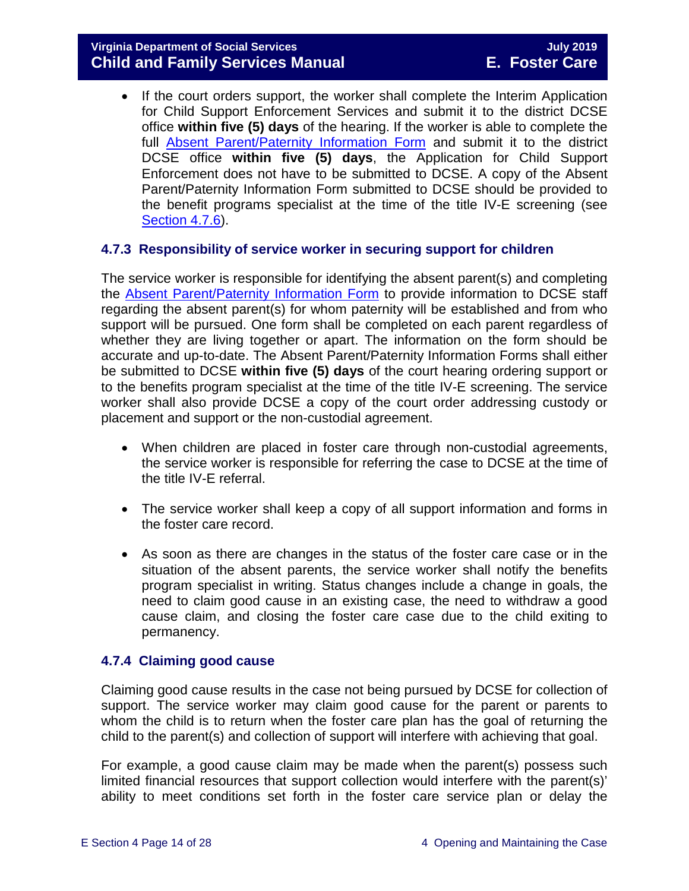• If the court orders support, the worker shall complete the Interim Application for Child Support Enforcement Services and submit it to the district DCSE office **within five (5) days** of the hearing. If the worker is able to complete the full [Absent Parent/Paternity Information Form](https://fusion.dss.virginia.gov/Portals/%5bbp%5d/Files/TANF%20Forms/Absent%20Parent%20Paternity%20Information.pdf?ver=2019-03-30-204002-243) and submit it to the district DCSE office **within five (5) days**, the Application for Child Support Enforcement does not have to be submitted to DCSE. A copy of the Absent Parent/Paternity Information Form submitted to DCSE should be provided to the benefit programs specialist at the time of the title IV-E screening (see [Section 4.7.6\)](#page-15-0).

#### <span id="page-13-0"></span>**4.7.3 Responsibility of service worker in securing support for children**

The service worker is responsible for identifying the absent parent(s) and completing the [Absent Parent/Paternity Information Form](https://fusion.dss.virginia.gov/Portals/%5bbp%5d/Files/TANF%20Forms/Absent%20Parent%20Paternity%20Information.pdf?ver=2019-03-30-204002-243) to provide information to DCSE staff regarding the absent parent(s) for whom paternity will be established and from who support will be pursued. One form shall be completed on each parent regardless of whether they are living together or apart. The information on the form should be accurate and up-to-date. The Absent Parent/Paternity Information Forms shall either be submitted to DCSE **within five (5) days** of the court hearing ordering support or to the benefits program specialist at the time of the title IV-E screening. The service worker shall also provide DCSE a copy of the court order addressing custody or placement and support or the non-custodial agreement.

- When children are placed in foster care through non-custodial agreements, the service worker is responsible for referring the case to DCSE at the time of the title IV-E referral.
- The service worker shall keep a copy of all support information and forms in the foster care record.
- As soon as there are changes in the status of the foster care case or in the situation of the absent parents, the service worker shall notify the benefits program specialist in writing. Status changes include a change in goals, the need to claim good cause in an existing case, the need to withdraw a good cause claim, and closing the foster care case due to the child exiting to permanency.

#### <span id="page-13-1"></span>**4.7.4 Claiming good cause**

Claiming good cause results in the case not being pursued by DCSE for collection of support. The service worker may claim good cause for the parent or parents to whom the child is to return when the foster care plan has the goal of returning the child to the parent(s) and collection of support will interfere with achieving that goal.

For example, a good cause claim may be made when the parent(s) possess such limited financial resources that support collection would interfere with the parent(s)' ability to meet conditions set forth in the foster care service plan or delay the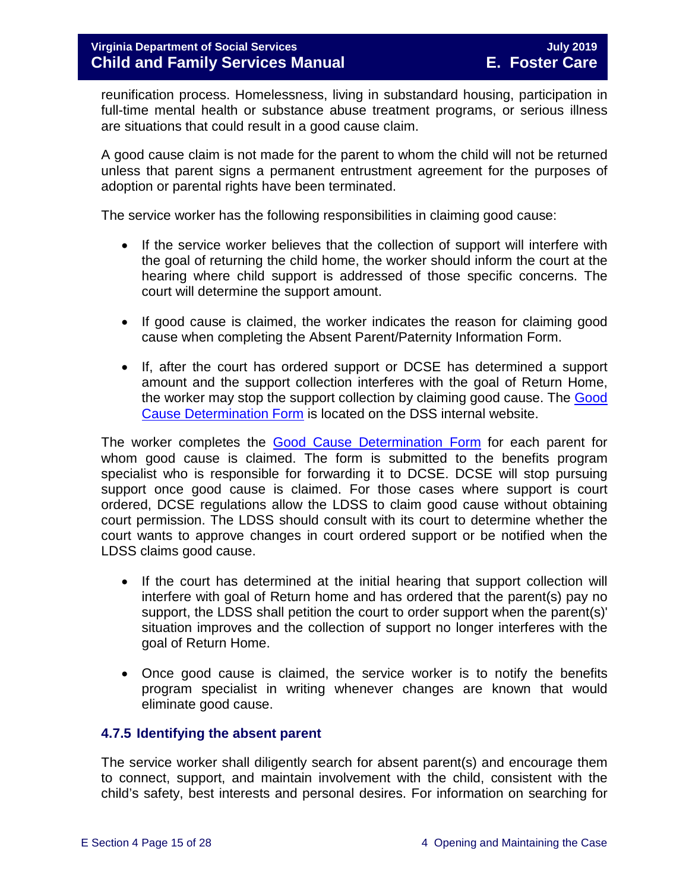reunification process. Homelessness, living in substandard housing, participation in full-time mental health or substance abuse treatment programs, or serious illness are situations that could result in a good cause claim.

A good cause claim is not made for the parent to whom the child will not be returned unless that parent signs a permanent entrustment agreement for the purposes of adoption or parental rights have been terminated.

The service worker has the following responsibilities in claiming good cause:

- If the service worker believes that the collection of support will interfere with the goal of returning the child home, the worker should inform the court at the hearing where child support is addressed of those specific concerns. The court will determine the support amount.
- If good cause is claimed, the worker indicates the reason for claiming good cause when completing the Absent Parent/Paternity Information Form.
- If, after the court has ordered support or DCSE has determined a support amount and the support collection interferes with the goal of Return Home, the worker may stop the support collection by claiming good cause. The [Good](https://fusion.dss.virginia.gov/dfs/DFS-Home/Foster-Care/Foster-Care-Forms)  [Cause Determination Form](https://fusion.dss.virginia.gov/dfs/DFS-Home/Foster-Care/Foster-Care-Forms) is located on the DSS internal website.

The worker completes the [Good Cause Determination Form](https://fusion.dss.virginia.gov/dfs/DFS-Home/Foster-Care/Foster-Care-Forms) for each parent for whom good cause is claimed. The form is submitted to the benefits program specialist who is responsible for forwarding it to DCSE. DCSE will stop pursuing support once good cause is claimed. For those cases where support is court ordered, DCSE regulations allow the LDSS to claim good cause without obtaining court permission. The LDSS should consult with its court to determine whether the court wants to approve changes in court ordered support or be notified when the LDSS claims good cause.

- If the court has determined at the initial hearing that support collection will interfere with goal of Return home and has ordered that the parent(s) pay no support, the LDSS shall petition the court to order support when the parent(s)' situation improves and the collection of support no longer interferes with the goal of Return Home.
- Once good cause is claimed, the service worker is to notify the benefits program specialist in writing whenever changes are known that would eliminate good cause.

#### <span id="page-14-0"></span>**4.7.5 Identifying the absent parent**

The service worker shall diligently search for absent parent(s) and encourage them to connect, support, and maintain involvement with the child, consistent with the child's safety, best interests and personal desires. For information on searching for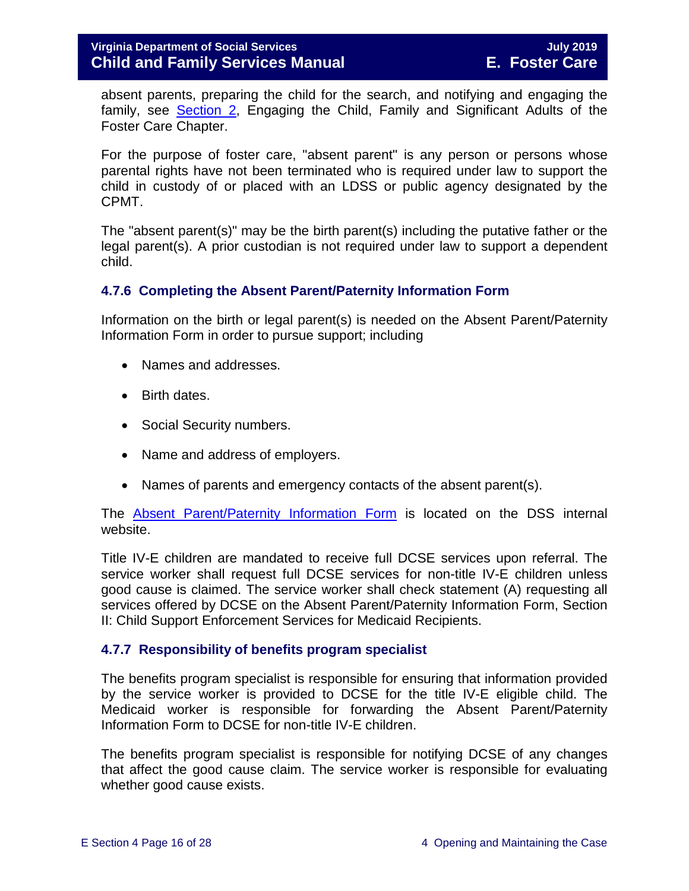absent parents, preparing the child for the search, and notifying and engaging the family, see [Section 2,](https://fusion.dss.virginia.gov/Portals/%5bdfs%5d/Files/DFS%20Manuals/Foster%20Care%20Manuals/Foster%20Care%20Manual%2007-2019/section_2_engaging_the_child_family_and_significant_adults.pdf) Engaging the Child, Family and Significant Adults of the Foster Care Chapter.

For the purpose of foster care, "absent parent" is any person or persons whose parental rights have not been terminated who is required under law to support the child in custody of or placed with an LDSS or public agency designated by the CPMT.

The "absent parent(s)" may be the birth parent(s) including the putative father or the legal parent(s). A prior custodian is not required under law to support a dependent child.

#### <span id="page-15-0"></span>**4.7.6 Completing the Absent Parent/Paternity Information Form**

Information on the birth or legal parent(s) is needed on the Absent Parent/Paternity Information Form in order to pursue support; including

- Names and addresses.
- Birth dates.
- Social Security numbers.
- Name and address of employers.
- Names of parents and emergency contacts of the absent parent(s).

The [Absent Parent/Paternity Information Form](https://fusion.dss.virginia.gov/Portals/%5bbp%5d/Files/TANF%20Forms/Absent%20Parent%20Paternity%20Information.pdf?ver=2019-03-30-204002-243) is located on the DSS internal website.

Title IV-E children are mandated to receive full DCSE services upon referral. The service worker shall request full DCSE services for non-title IV-E children unless good cause is claimed. The service worker shall check statement (A) requesting all services offered by DCSE on the Absent Parent/Paternity Information Form, Section II: Child Support Enforcement Services for Medicaid Recipients.

#### <span id="page-15-1"></span>**4.7.7 Responsibility of benefits program specialist**

The benefits program specialist is responsible for ensuring that information provided by the service worker is provided to DCSE for the title IV-E eligible child. The Medicaid worker is responsible for forwarding the Absent Parent/Paternity Information Form to DCSE for non-title IV-E children.

The benefits program specialist is responsible for notifying DCSE of any changes that affect the good cause claim. The service worker is responsible for evaluating whether good cause exists.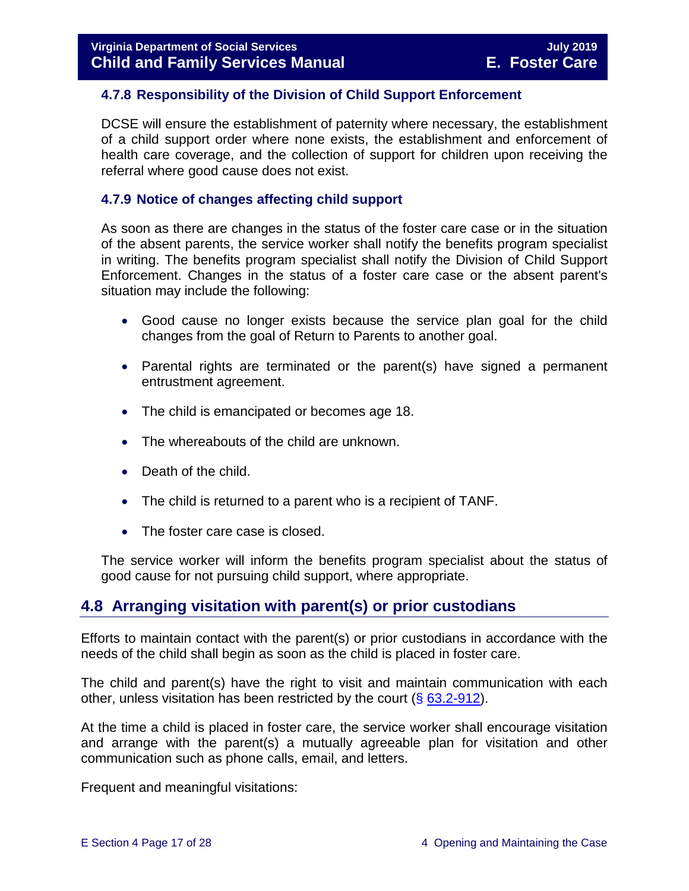#### <span id="page-16-0"></span>**4.7.8 Responsibility of the Division of Child Support Enforcement**

DCSE will ensure the establishment of paternity where necessary, the establishment of a child support order where none exists, the establishment and enforcement of health care coverage, and the collection of support for children upon receiving the referral where good cause does not exist.

#### <span id="page-16-1"></span>**4.7.9 Notice of changes affecting child support**

As soon as there are changes in the status of the foster care case or in the situation of the absent parents, the service worker shall notify the benefits program specialist in writing. The benefits program specialist shall notify the Division of Child Support Enforcement. Changes in the status of a foster care case or the absent parent's situation may include the following:

- Good cause no longer exists because the service plan goal for the child changes from the goal of Return to Parents to another goal.
- Parental rights are terminated or the parent(s) have signed a permanent entrustment agreement.
- The child is emancipated or becomes age 18.
- The whereabouts of the child are unknown.
- Death of the child.
- The child is returned to a parent who is a recipient of TANF.
- The foster care case is closed.

The service worker will inform the benefits program specialist about the status of good cause for not pursuing child support, where appropriate.

# <span id="page-16-2"></span>**4.8 Arranging visitation with parent(s) or prior custodians**

Efforts to maintain contact with the parent(s) or prior custodians in accordance with the needs of the child shall begin as soon as the child is placed in foster care.

The child and parent(s) have the right to visit and maintain communication with each other, unless visitation has been restricted by the court  $(\S$  [63.2-912\)](http://law.lis.virginia.gov/vacode/63.2-912/).

At the time a child is placed in foster care, the service worker shall encourage visitation and arrange with the parent(s) a mutually agreeable plan for visitation and other communication such as phone calls, email, and letters.

Frequent and meaningful visitations: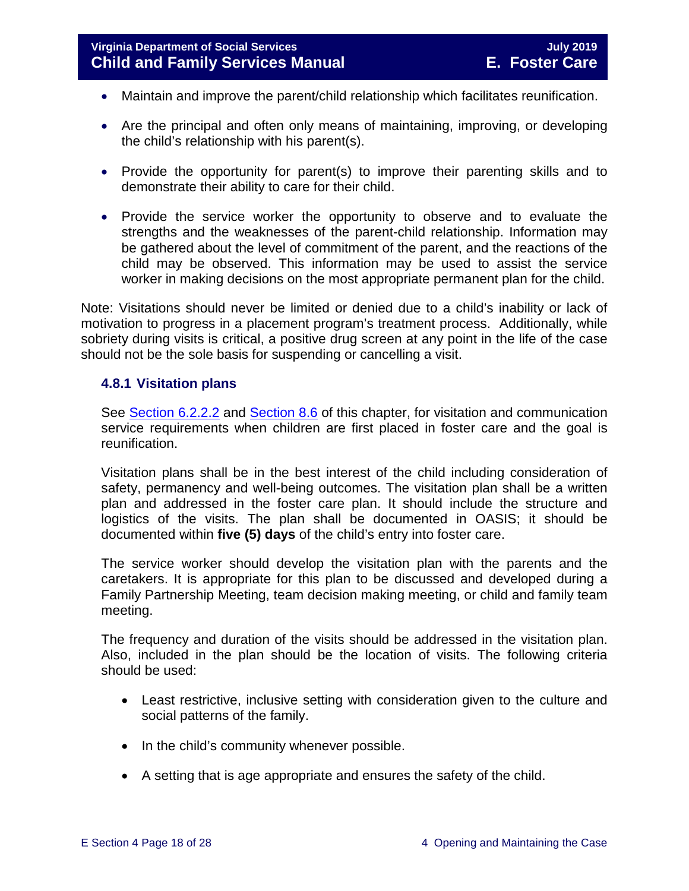- Maintain and improve the parent/child relationship which facilitates reunification.
- Are the principal and often only means of maintaining, improving, or developing the child's relationship with his parent(s).
- Provide the opportunity for parent(s) to improve their parenting skills and to demonstrate their ability to care for their child.
- Provide the service worker the opportunity to observe and to evaluate the strengths and the weaknesses of the parent-child relationship. Information may be gathered about the level of commitment of the parent, and the reactions of the child may be observed. This information may be used to assist the service worker in making decisions on the most appropriate permanent plan for the child.

Note: Visitations should never be limited or denied due to a child's inability or lack of motivation to progress in a placement program's treatment process. Additionally, while sobriety during visits is critical, a positive drug screen at any point in the life of the case should not be the sole basis for suspending or cancelling a visit.

#### <span id="page-17-0"></span>**4.8.1 Visitation plans**

See [Section 6.2.2.2](https://fusion.dss.virginia.gov/Portals/%5bdfs%5d/Files/DFS%20Manuals/Foster%20Care%20Manuals/Foster%20Care%20Manual%2007-2019/section_6_placement_to_achieve_permanency.pdf#page=7) and [Section 8.6](https://fusion.dss.virginia.gov/Portals/%5bdfs%5d/Files/DFS%20Manuals/Foster%20Care%20Manuals/Foster%20Care%20Manual%2007-2019/section_8_achieving_permanency_goal_return_home.pdf#page=10) of this chapter, for visitation and communication service requirements when children are first placed in foster care and the goal is reunification.

Visitation plans shall be in the best interest of the child including consideration of safety, permanency and well-being outcomes. The visitation plan shall be a written plan and addressed in the foster care plan. It should include the structure and logistics of the visits. The plan shall be documented in OASIS; it should be documented within **five (5) days** of the child's entry into foster care.

The service worker should develop the visitation plan with the parents and the caretakers. It is appropriate for this plan to be discussed and developed during a Family Partnership Meeting, team decision making meeting, or child and family team meeting.

The frequency and duration of the visits should be addressed in the visitation plan. Also, included in the plan should be the location of visits. The following criteria should be used:

- Least restrictive, inclusive setting with consideration given to the culture and social patterns of the family.
- In the child's community whenever possible.
- A setting that is age appropriate and ensures the safety of the child.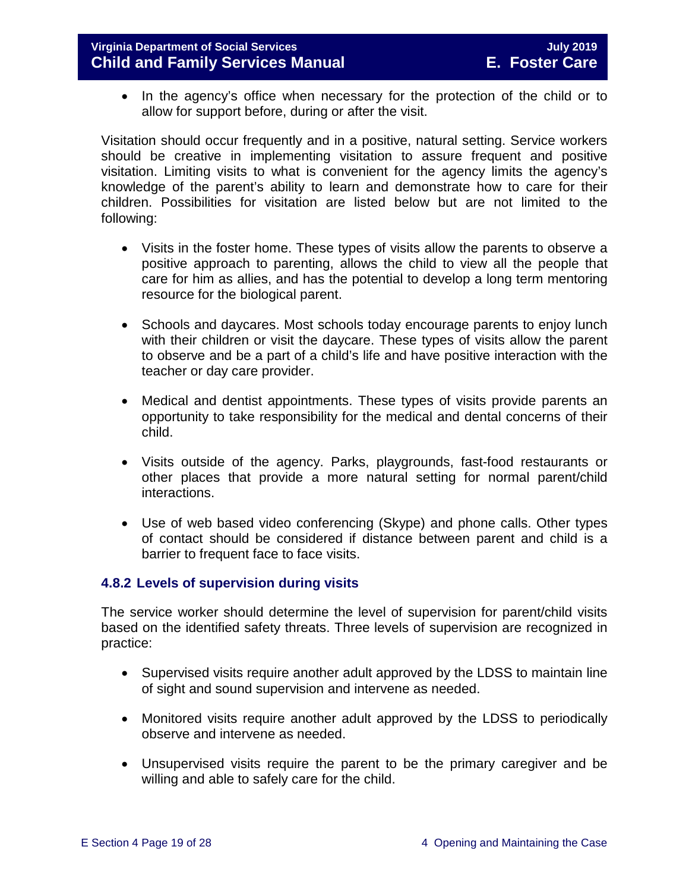• In the agency's office when necessary for the protection of the child or to allow for support before, during or after the visit.

Visitation should occur frequently and in a positive, natural setting. Service workers should be creative in implementing visitation to assure frequent and positive visitation. Limiting visits to what is convenient for the agency limits the agency's knowledge of the parent's ability to learn and demonstrate how to care for their children. Possibilities for visitation are listed below but are not limited to the following:

- Visits in the foster home. These types of visits allow the parents to observe a positive approach to parenting, allows the child to view all the people that care for him as allies, and has the potential to develop a long term mentoring resource for the biological parent.
- Schools and daycares. Most schools today encourage parents to enjoy lunch with their children or visit the daycare. These types of visits allow the parent to observe and be a part of a child's life and have positive interaction with the teacher or day care provider.
- Medical and dentist appointments. These types of visits provide parents an opportunity to take responsibility for the medical and dental concerns of their child.
- Visits outside of the agency. Parks, playgrounds, fast-food restaurants or other places that provide a more natural setting for normal parent/child interactions.
- Use of web based video conferencing (Skype) and phone calls. Other types of contact should be considered if distance between parent and child is a barrier to frequent face to face visits.

#### <span id="page-18-0"></span>**4.8.2 Levels of supervision during visits**

The service worker should determine the level of supervision for parent/child visits based on the identified safety threats. Three levels of supervision are recognized in practice:

- Supervised visits require another adult approved by the LDSS to maintain line of sight and sound supervision and intervene as needed.
- Monitored visits require another adult approved by the LDSS to periodically observe and intervene as needed.
- Unsupervised visits require the parent to be the primary caregiver and be willing and able to safely care for the child.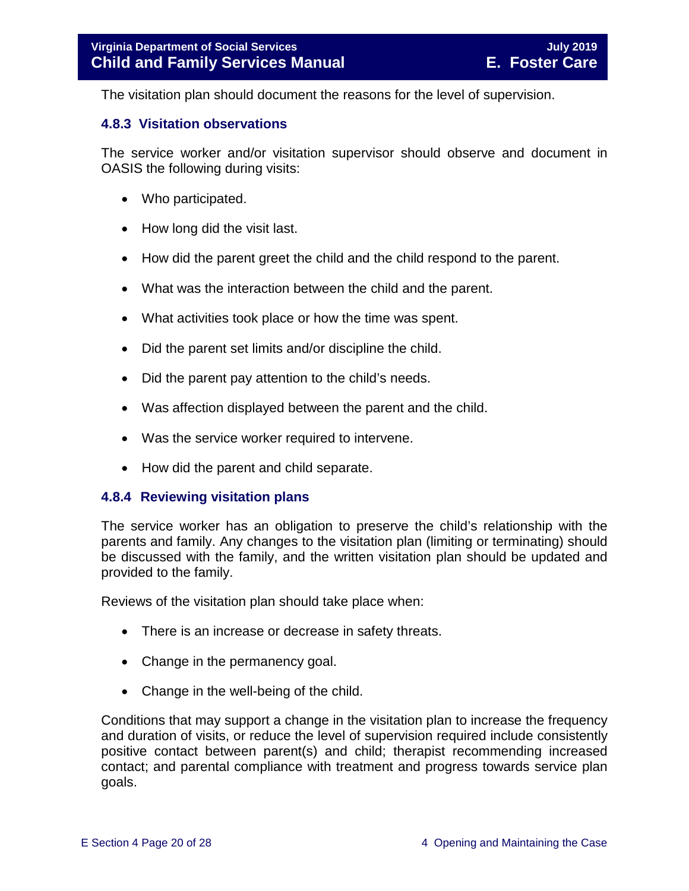The visitation plan should document the reasons for the level of supervision.

#### <span id="page-19-0"></span>**4.8.3 Visitation observations**

The service worker and/or visitation supervisor should observe and document in OASIS the following during visits:

- Who participated.
- How long did the visit last.
- How did the parent greet the child and the child respond to the parent.
- What was the interaction between the child and the parent.
- What activities took place or how the time was spent.
- Did the parent set limits and/or discipline the child.
- Did the parent pay attention to the child's needs.
- Was affection displayed between the parent and the child.
- Was the service worker required to intervene.
- <span id="page-19-1"></span>• How did the parent and child separate.

#### **4.8.4 Reviewing visitation plans**

The service worker has an obligation to preserve the child's relationship with the parents and family. Any changes to the visitation plan (limiting or terminating) should be discussed with the family, and the written visitation plan should be updated and provided to the family.

Reviews of the visitation plan should take place when:

- There is an increase or decrease in safety threats.
- Change in the permanency goal.
- Change in the well-being of the child.

Conditions that may support a change in the visitation plan to increase the frequency and duration of visits, or reduce the level of supervision required include consistently positive contact between parent(s) and child; therapist recommending increased contact; and parental compliance with treatment and progress towards service plan goals.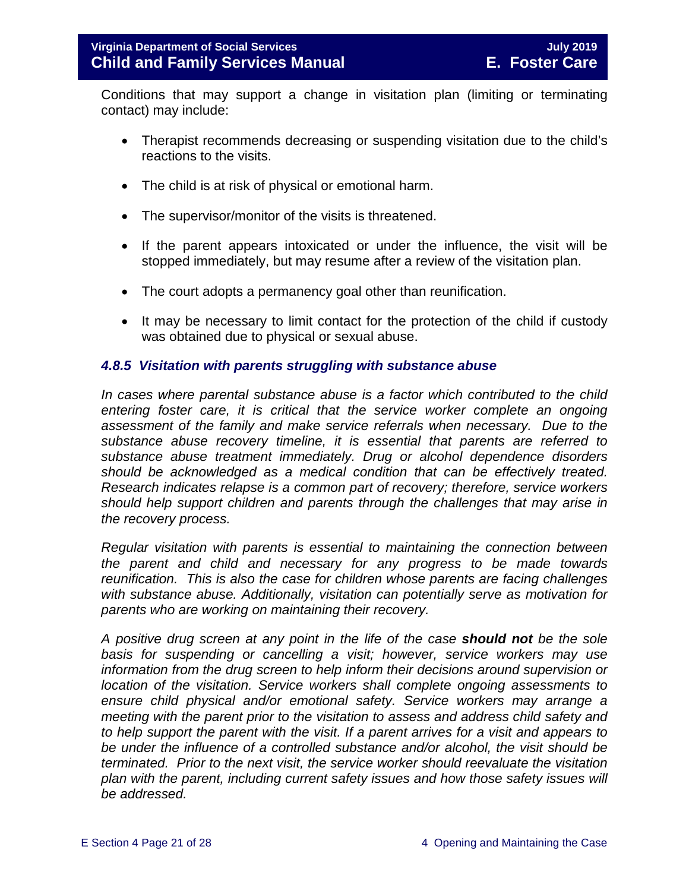Conditions that may support a change in visitation plan (limiting or terminating contact) may include:

- Therapist recommends decreasing or suspending visitation due to the child's reactions to the visits.
- The child is at risk of physical or emotional harm.
- The supervisor/monitor of the visits is threatened.
- If the parent appears intoxicated or under the influence, the visit will be stopped immediately, but may resume after a review of the visitation plan.
- The court adopts a permanency goal other than reunification.
- It may be necessary to limit contact for the protection of the child if custody was obtained due to physical or sexual abuse.

#### <span id="page-20-0"></span>*4.8.5 Visitation with parents struggling with substance abuse*

*In cases where parental substance abuse is a factor which contributed to the child entering foster care, it is critical that the service worker complete an ongoing assessment of the family and make service referrals when necessary. Due to the substance abuse recovery timeline, it is essential that parents are referred to substance abuse treatment immediately. Drug or alcohol dependence disorders should be acknowledged as a medical condition that can be effectively treated. Research indicates relapse is a common part of recovery; therefore, service workers should help support children and parents through the challenges that may arise in the recovery process.* 

*Regular visitation with parents is essential to maintaining the connection between the parent and child and necessary for any progress to be made towards reunification. This is also the case for children whose parents are facing challenges with substance abuse. Additionally, visitation can potentially serve as motivation for parents who are working on maintaining their recovery.*

*A positive drug screen at any point in the life of the case should not be the sole basis for suspending or cancelling a visit; however, service workers may use information from the drug screen to help inform their decisions around supervision or location of the visitation. Service workers shall complete ongoing assessments to ensure child physical and/or emotional safety. Service workers may arrange a meeting with the parent prior to the visitation to assess and address child safety and to help support the parent with the visit. If a parent arrives for a visit and appears to be under the influence of a controlled substance and/or alcohol, the visit should be terminated. Prior to the next visit, the service worker should reevaluate the visitation plan with the parent, including current safety issues and how those safety issues will be addressed.*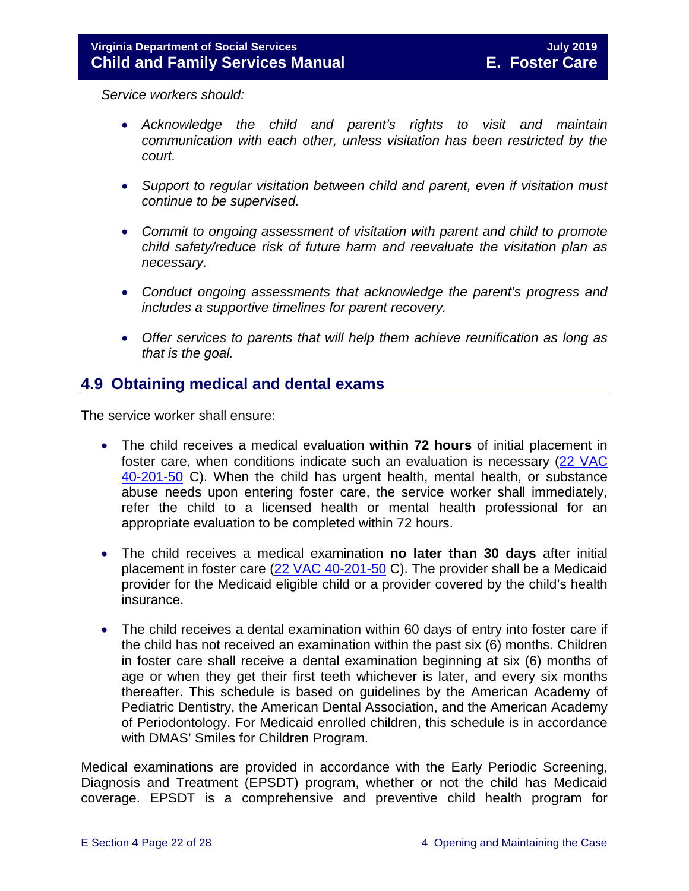*Service workers should:*

- *Acknowledge the child and parent's rights to visit and maintain communication with each other, unless visitation has been restricted by the court.*
- *Support to regular visitation between child and parent, even if visitation must continue to be supervised.*
- *Commit to ongoing assessment of visitation with parent and child to promote child safety/reduce risk of future harm and reevaluate the visitation plan as necessary.*
- *Conduct ongoing assessments that acknowledge the parent's progress and includes a supportive timelines for parent recovery.*
- *Offer services to parents that will help them achieve reunification as long as that is the goal.*

# <span id="page-21-0"></span>**4.9 Obtaining medical and dental exams**

The service worker shall ensure:

- The child receives a medical evaluation **within 72 hours** of initial placement in foster care, when conditions indicate such an evaluation is necessary [\(22 VAC](http://leg1.state.va.us/cgi-bin/legp504.exe?000+reg+22VAC40-201-50)  [40-201-50](http://leg1.state.va.us/cgi-bin/legp504.exe?000+reg+22VAC40-201-50) C). When the child has urgent health, mental health, or substance abuse needs upon entering foster care, the service worker shall immediately, refer the child to a licensed health or mental health professional for an appropriate evaluation to be completed within 72 hours.
- The child receives a medical examination **no later than 30 days** after initial placement in foster care [\(22 VAC 40-201-50](http://leg1.state.va.us/cgi-bin/legp504.exe?000+reg+22VAC40-201-50) C). The provider shall be a Medicaid provider for the Medicaid eligible child or a provider covered by the child's health insurance.
- The child receives a dental examination within 60 days of entry into foster care if the child has not received an examination within the past six (6) months. Children in foster care shall receive a dental examination beginning at six (6) months of age or when they get their first teeth whichever is later, and every six months thereafter. This schedule is based on guidelines by the American Academy of Pediatric Dentistry, the American Dental Association, and the American Academy of Periodontology. For Medicaid enrolled children, this schedule is in accordance with DMAS' Smiles for Children Program.

Medical examinations are provided in accordance with the Early Periodic Screening, Diagnosis and Treatment (EPSDT) program, whether or not the child has Medicaid coverage. EPSDT is a comprehensive and preventive child health program for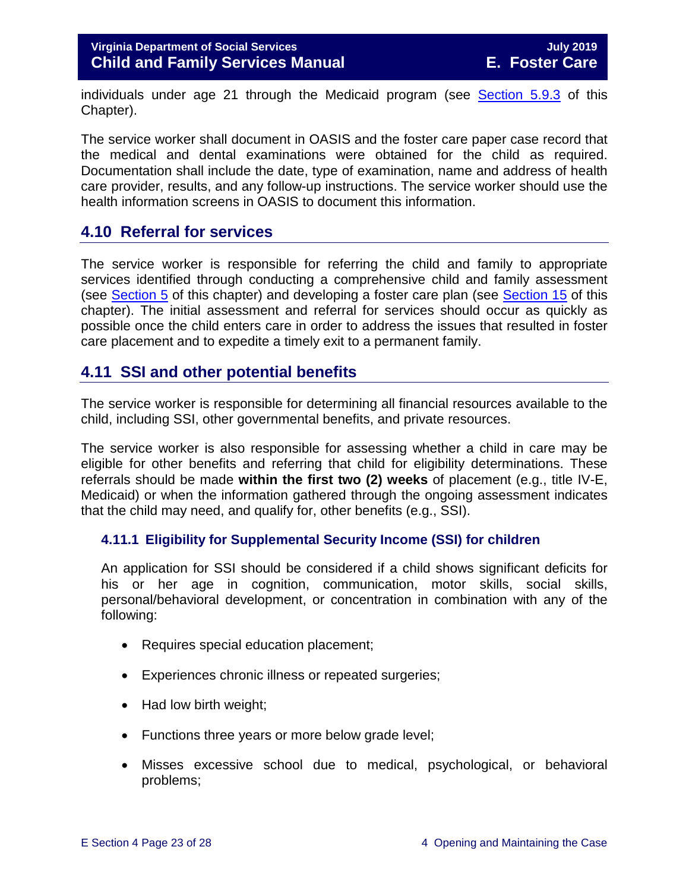individuals under age 21 through the Medicaid program (see [Section 5.9.3](https://fusion.dss.virginia.gov/Portals/%5bdfs%5d/Files/DFS%20Manuals/Foster%20Care%20Manuals/Foster%20Care%20Manual%2007-2019/section_5_conducting_child_and_family_assessment.pdf#page=21) of this Chapter).

The service worker shall document in OASIS and the foster care paper case record that the medical and dental examinations were obtained for the child as required. Documentation shall include the date, type of examination, name and address of health care provider, results, and any follow-up instructions. The service worker should use the health information screens in OASIS to document this information.

# <span id="page-22-0"></span>**4.10 Referral for services**

The service worker is responsible for referring the child and family to appropriate services identified through conducting a comprehensive child and family assessment (see [Section 5](https://fusion.dss.virginia.gov/Portals/%5bdfs%5d/Files/DFS%20Manuals/Foster%20Care%20Manuals/Foster%20Care%20Manual%2007-2019/section_5_conducting_child_and_family_assessment.pdf) of this chapter) and developing a foster care plan (see [Section 15](https://fusion.dss.virginia.gov/Portals/%5bdfs%5d/Files/DFS%20Manuals/Foster%20Care%20Manuals/Foster%20Care%20Manual%2007-2019/section_15_developing_service_plan.pdf) of this chapter). The initial assessment and referral for services should occur as quickly as possible once the child enters care in order to address the issues that resulted in foster care placement and to expedite a timely exit to a permanent family.

# <span id="page-22-1"></span>**4.11 SSI and other potential benefits**

The service worker is responsible for determining all financial resources available to the child, including SSI, other governmental benefits, and private resources.

The service worker is also responsible for assessing whether a child in care may be eligible for other benefits and referring that child for eligibility determinations. These referrals should be made **within the first two (2) weeks** of placement (e.g., title IV-E, Medicaid) or when the information gathered through the ongoing assessment indicates that the child may need, and qualify for, other benefits (e.g., SSI).

#### <span id="page-22-2"></span>**4.11.1 Eligibility for Supplemental Security Income (SSI) for children**

An application for SSI should be considered if a child shows significant deficits for his or her age in cognition, communication, motor skills, social skills, personal/behavioral development, or concentration in combination with any of the following:

- Requires special education placement;
- Experiences chronic illness or repeated surgeries;
- Had low birth weight;
- Functions three years or more below grade level;
- Misses excessive school due to medical, psychological, or behavioral problems;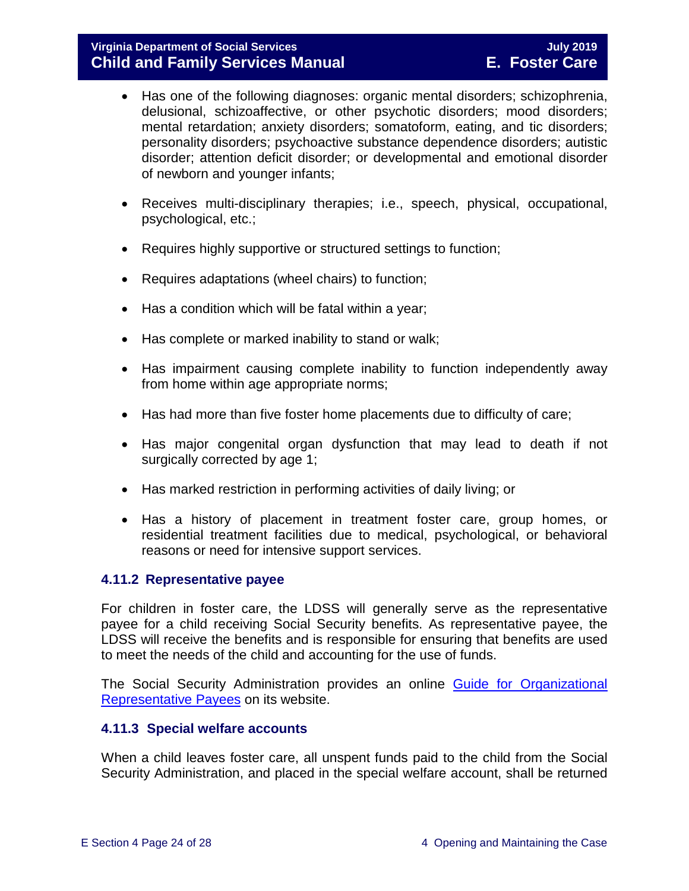#### **Virginia Department of Social Services July 2019 Child and Family Services Manual**

- Has one of the following diagnoses: organic mental disorders; schizophrenia, delusional, schizoaffective, or other psychotic disorders; mood disorders; mental retardation; anxiety disorders; somatoform, eating, and tic disorders; personality disorders; psychoactive substance dependence disorders; autistic disorder; attention deficit disorder; or developmental and emotional disorder of newborn and younger infants;
- Receives multi-disciplinary therapies; i.e., speech, physical, occupational, psychological, etc.;
- Requires highly supportive or structured settings to function;
- Requires adaptations (wheel chairs) to function;
- Has a condition which will be fatal within a year;
- Has complete or marked inability to stand or walk;
- Has impairment causing complete inability to function independently away from home within age appropriate norms;
- Has had more than five foster home placements due to difficulty of care;
- Has major congenital organ dysfunction that may lead to death if not surgically corrected by age 1;
- Has marked restriction in performing activities of daily living; or
- Has a history of placement in treatment foster care, group homes, or residential treatment facilities due to medical, psychological, or behavioral reasons or need for intensive support services.

#### <span id="page-23-0"></span>**4.11.2 Representative payee**

For children in foster care, the LDSS will generally serve as the representative payee for a child receiving Social Security benefits. As representative payee, the LDSS will receive the benefits and is responsible for ensuring that benefits are used to meet the needs of the child and accounting for the use of funds.

The Social Security Administration provides an online Guide for Organizational [Representative Payees](https://www.ssa.gov/payee/NewGuide/toc.htm) on its website.

#### <span id="page-23-1"></span>**4.11.3 Special welfare accounts**

When a child leaves foster care, all unspent funds paid to the child from the Social Security Administration, and placed in the special welfare account, shall be returned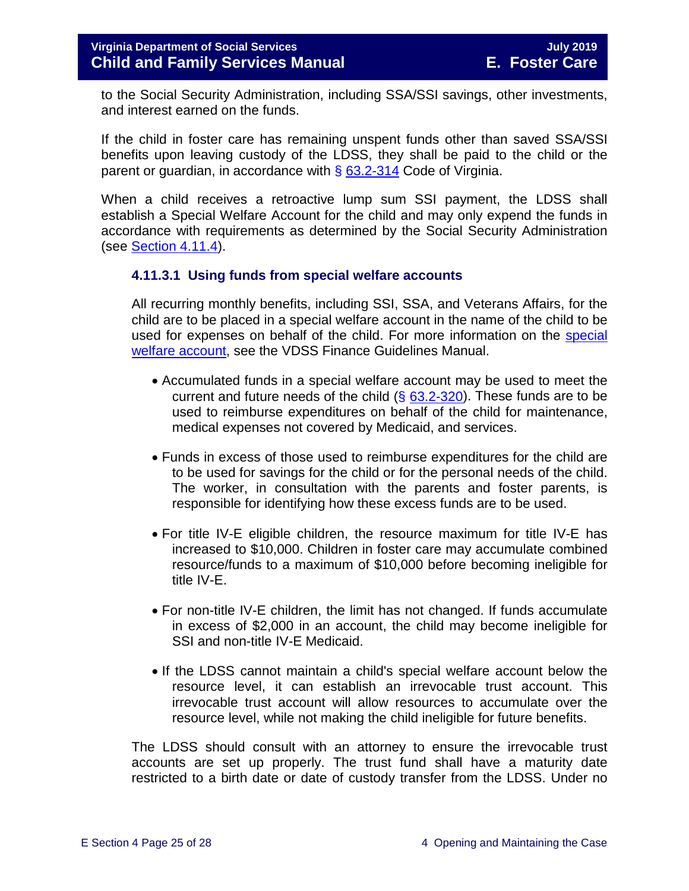to the Social Security Administration, including SSA/SSI savings, other investments, and interest earned on the funds.

If the child in foster care has remaining unspent funds other than saved SSA/SSI benefits upon leaving custody of the LDSS, they shall be paid to the child or the parent or guardian, in accordance with  $\S$  [63.2-314](http://law.lis.virginia.gov/vacode/63.2-314/) Code of Virginia.

When a child receives a retroactive lump sum SSI payment, the LDSS shall establish a Special Welfare Account for the child and may only expend the funds in accordance with requirements as determined by the Social Security Administration (see [Section](#page-25-1) 4.11.4).

#### <span id="page-24-0"></span>**4.11.3.1 Using funds from special welfare accounts**

All recurring monthly benefits, including SSI, SSA, and Veterans Affairs, for the child are to be placed in a special welfare account in the name of the child to be used for expenses on behalf of the child. For more information on the [special](https://fusion.dss.virginia.gov/dof/DOF-Home/LOCAL-RESOURCES/Local-Finance-Guidance-Manual)  [welfare account,](https://fusion.dss.virginia.gov/dof/DOF-Home/LOCAL-RESOURCES/Local-Finance-Guidance-Manual) see the VDSS Finance Guidelines Manual.

- Accumulated funds in a special welfare account may be used to meet the current and future needs of the child  $(\S$  [63.2-320\)](http://law.lis.virginia.gov/vacode/63.2-320/). These funds are to be used to reimburse expenditures on behalf of the child for maintenance, medical expenses not covered by Medicaid, and services.
- Funds in excess of those used to reimburse expenditures for the child are to be used for savings for the child or for the personal needs of the child. The worker, in consultation with the parents and foster parents, is responsible for identifying how these excess funds are to be used.
- For title IV-E eligible children, the resource maximum for title IV-E has increased to \$10,000. Children in foster care may accumulate combined resource/funds to a maximum of \$10,000 before becoming ineligible for title IV-E.
- For non-title IV-E children, the limit has not changed. If funds accumulate in excess of \$2,000 in an account, the child may become ineligible for SSI and non-title IV-E Medicaid.
- If the LDSS cannot maintain a child's special welfare account below the resource level, it can establish an irrevocable trust account. This irrevocable trust account will allow resources to accumulate over the resource level, while not making the child ineligible for future benefits.

The LDSS should consult with an attorney to ensure the irrevocable trust accounts are set up properly. The trust fund shall have a maturity date restricted to a birth date or date of custody transfer from the LDSS. Under no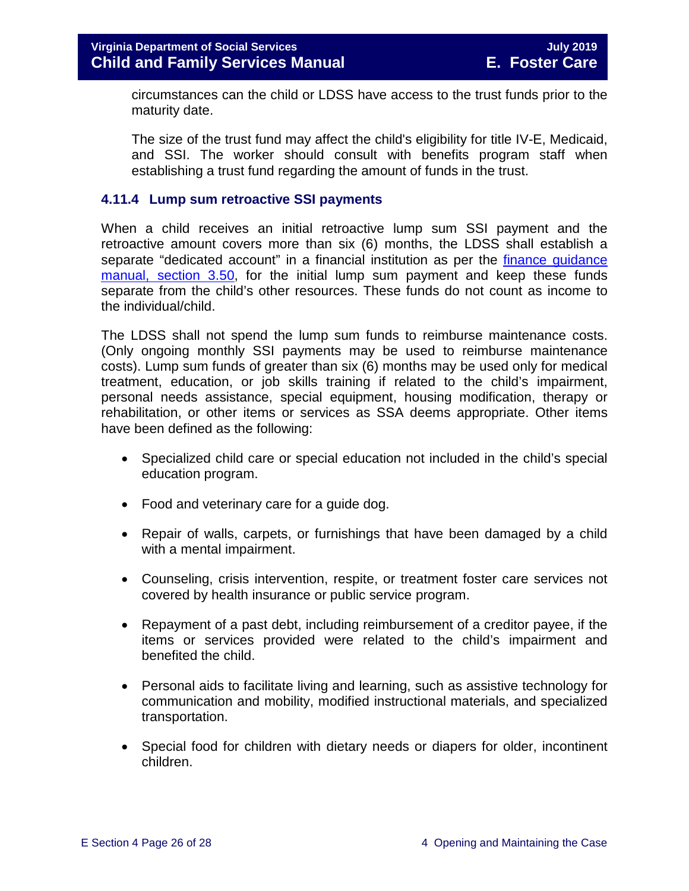circumstances can the child or LDSS have access to the trust funds prior to the maturity date.

The size of the trust fund may affect the child's eligibility for title IV-E, Medicaid, and SSI. The worker should consult with benefits program staff when establishing a trust fund regarding the amount of funds in the trust.

#### <span id="page-25-1"></span><span id="page-25-0"></span>**4.11.4 Lump sum retroactive SSI payments**

When a child receives an initial retroactive lump sum SSI payment and the retroactive amount covers more than six (6) months, the LDSS shall establish a separate "dedicated account" in a financial institution as per the finance guidance [manual, section 3.50,](https://fusion.dss.virginia.gov/dof/DOF-Home/LOCAL-RESOURCES/Local-Finance-Guidance-Manual) for the initial lump sum payment and keep these funds separate from the child's other resources. These funds do not count as income to the individual/child.

The LDSS shall not spend the lump sum funds to reimburse maintenance costs. (Only ongoing monthly SSI payments may be used to reimburse maintenance costs). Lump sum funds of greater than six (6) months may be used only for medical treatment, education, or job skills training if related to the child's impairment, personal needs assistance, special equipment, housing modification, therapy or rehabilitation, or other items or services as SSA deems appropriate. Other items have been defined as the following:

- Specialized child care or special education not included in the child's special education program.
- Food and veterinary care for a guide dog.
- Repair of walls, carpets, or furnishings that have been damaged by a child with a mental impairment.
- Counseling, crisis intervention, respite, or treatment foster care services not covered by health insurance or public service program.
- Repayment of a past debt, including reimbursement of a creditor payee, if the items or services provided were related to the child's impairment and benefited the child.
- Personal aids to facilitate living and learning, such as assistive technology for communication and mobility, modified instructional materials, and specialized transportation.
- Special food for children with dietary needs or diapers for older, incontinent children.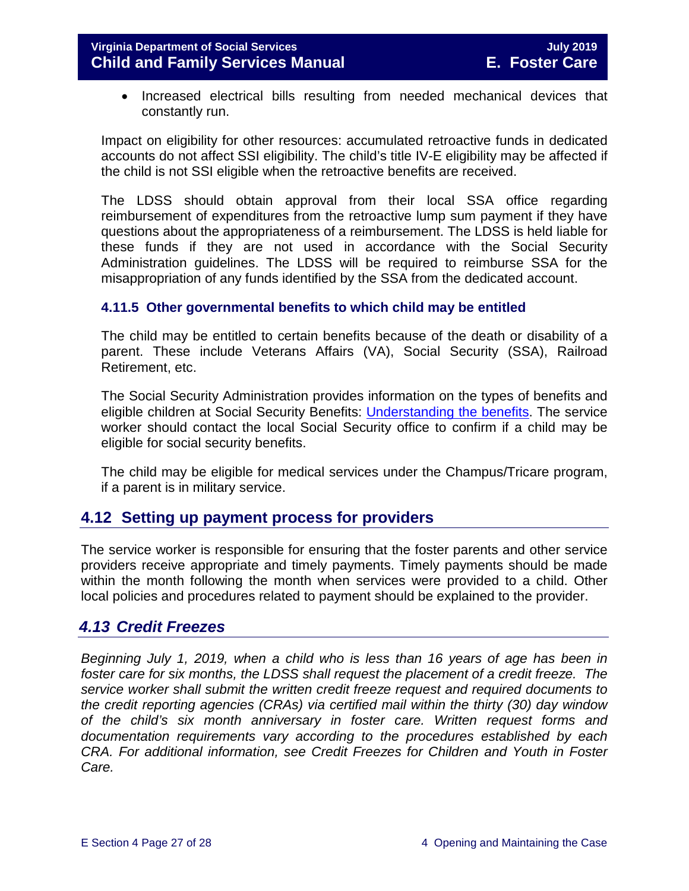• Increased electrical bills resulting from needed mechanical devices that constantly run.

Impact on eligibility for other resources: accumulated retroactive funds in dedicated accounts do not affect SSI eligibility. The child's title IV-E eligibility may be affected if the child is not SSI eligible when the retroactive benefits are received.

The LDSS should obtain approval from their local SSA office regarding reimbursement of expenditures from the retroactive lump sum payment if they have questions about the appropriateness of a reimbursement. The LDSS is held liable for these funds if they are not used in accordance with the Social Security Administration guidelines. The LDSS will be required to reimburse SSA for the misappropriation of any funds identified by the SSA from the dedicated account.

#### <span id="page-26-0"></span>**4.11.5 Other governmental benefits to which child may be entitled**

The child may be entitled to certain benefits because of the death or disability of a parent. These include Veterans Affairs (VA), Social Security (SSA), Railroad Retirement, etc.

The Social Security Administration provides information on the types of benefits and eligible children at Social Security Benefits: [Understanding the benefits.](https://www.ssa.gov/pubs/EN-05-10024.pdf) The service worker should contact the local Social Security office to confirm if a child may be eligible for social security benefits.

The child may be eligible for medical services under the Champus/Tricare program, if a parent is in military service.

# <span id="page-26-1"></span>**4.12 Setting up payment process for providers**

The service worker is responsible for ensuring that the foster parents and other service providers receive appropriate and timely payments. Timely payments should be made within the month following the month when services were provided to a child. Other local policies and procedures related to payment should be explained to the provider.

# <span id="page-26-2"></span>*4.13 Credit Freezes*

*Beginning July 1, 2019, when a child who is less than 16 years of age has been in foster care for six months, the LDSS shall request the placement of a credit freeze. The service worker shall submit the written credit freeze request and required documents to the credit reporting agencies (CRAs) via certified mail within the thirty (30) day window of the child's six month anniversary in foster care. Written request forms and documentation requirements vary according to the procedures established by each CRA. For additional information, see Credit Freezes for Children and Youth in Foster Care.*